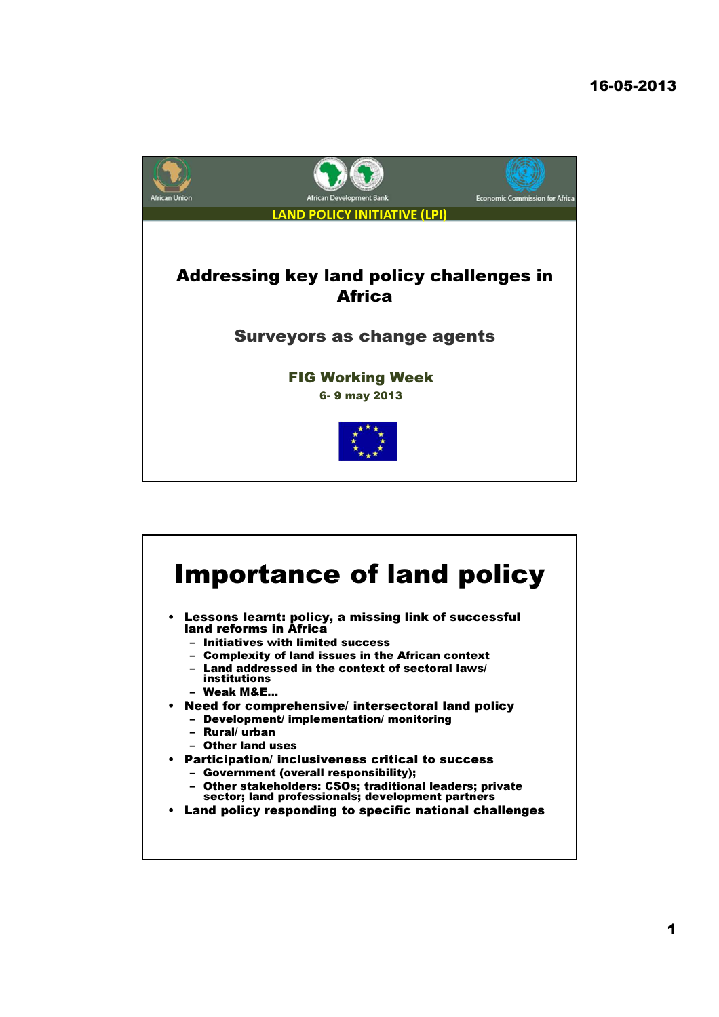

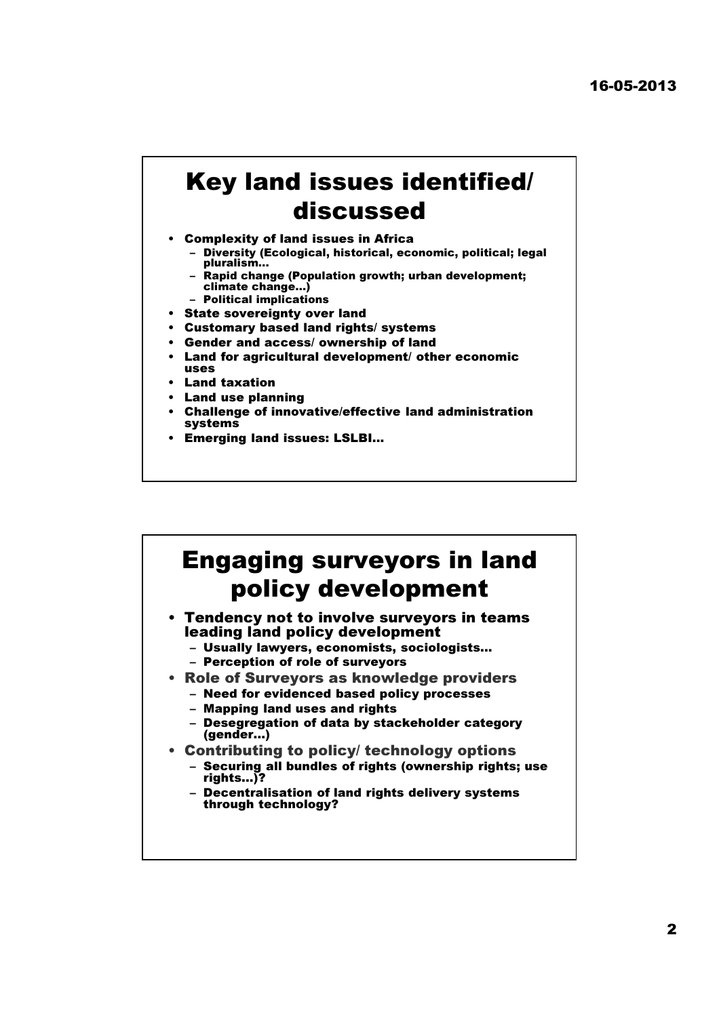#### Key land issues identified/ discussed

- Complexity of land issues in Africa
	- Diversity (Ecological, historical, economic, political; legal pluralism…
	- Rapid change (Population growth; urban development; climate change…)
	- Political implications
- State sovereignty over land
- Customary based land rights/ systems
- Gender and access/ ownership of land
- Land for agricultural development/ other economic uses
- Land taxation
- Land use planning
- Challenge of innovative/effective land administration systems
- Emerging land issues: LSLBI…

# Engaging surveyors in land policy development

- Tendency not to involve surveyors in teams leading land policy development
	- Usually lawyers, economists, sociologists…
	- Perception of role of surveyors
- Role of Surveyors as knowledge providers
	- Need for evidenced based policy processes
	- Mapping land uses and rights
	- Desegregation of data by stackeholder category (gender…)
- Contributing to policy/ technology options
	- Securing all bundles of rights (ownership rights; use rights…)?
	- Decentralisation of land rights delivery systems through technology?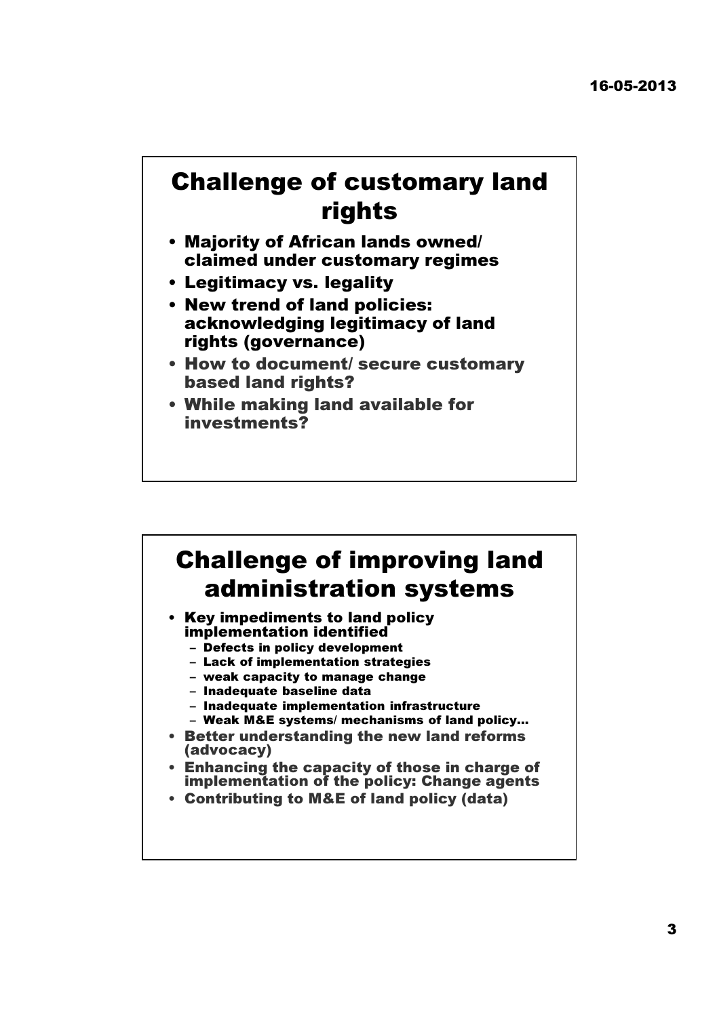### Challenge of customary land rights

- Majority of African lands owned/ claimed under customary regimes
- Legitimacy vs. legality
- New trend of land policies: acknowledging legitimacy of land rights (governance)
- How to document/ secure customary based land rights?
- While making land available for investments?

## Challenge of improving land administration systems

- Key impediments to land policy implementation identified
	- Defects in policy development
	- Lack of implementation strategies
	- weak capacity to manage change
	- Inadequate baseline data
	- Inadequate implementation infrastructure
	- Weak M&E systems/ mechanisms of land policy…
- Better understanding the new land reforms (advocacy)
- Enhancing the capacity of those in charge of implementation of the policy: Change agents
- Contributing to M&E of land policy (data)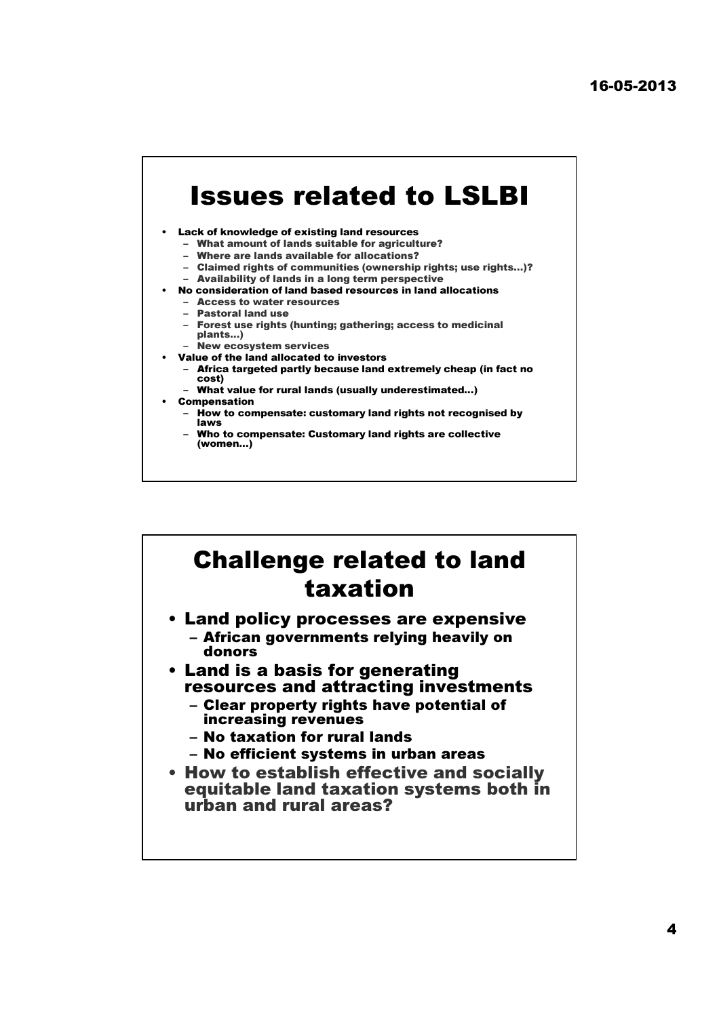

• Lack of knowledge of existing land resources

- What amount of lands suitable for agriculture?
- Where are lands available for allocations?
- Claimed rights of communities (ownership rights; use rights…)?
- Availability of lands in a long term perspective
- No consideration of land based resources in land allocations
	- Access to water resources – Pastoral land use
	-
	- Forest use rights (hunting; gathering; access to medicinal plants…)
	- New ecosystem services
- Value of the land allocated to investors
- Africa targeted partly because land extremely cheap (in fact no cost)
- What value for rural lands (usually underestimated…)
- Compensation
	- How to compensate: customary land rights not recognised by laws
	- Who to compensate: Customary land rights are collective (women…)

## Challenge related to land taxation

- Land policy processes are expensive – African governments relying heavily on donors
- Land is a basis for generating resources and attracting investments
	- Clear property rights have potential of increasing revenues
	- No taxation for rural lands
	- No efficient systems in urban areas
- How to establish effective and socially equitable land taxation systems both in urban and rural areas?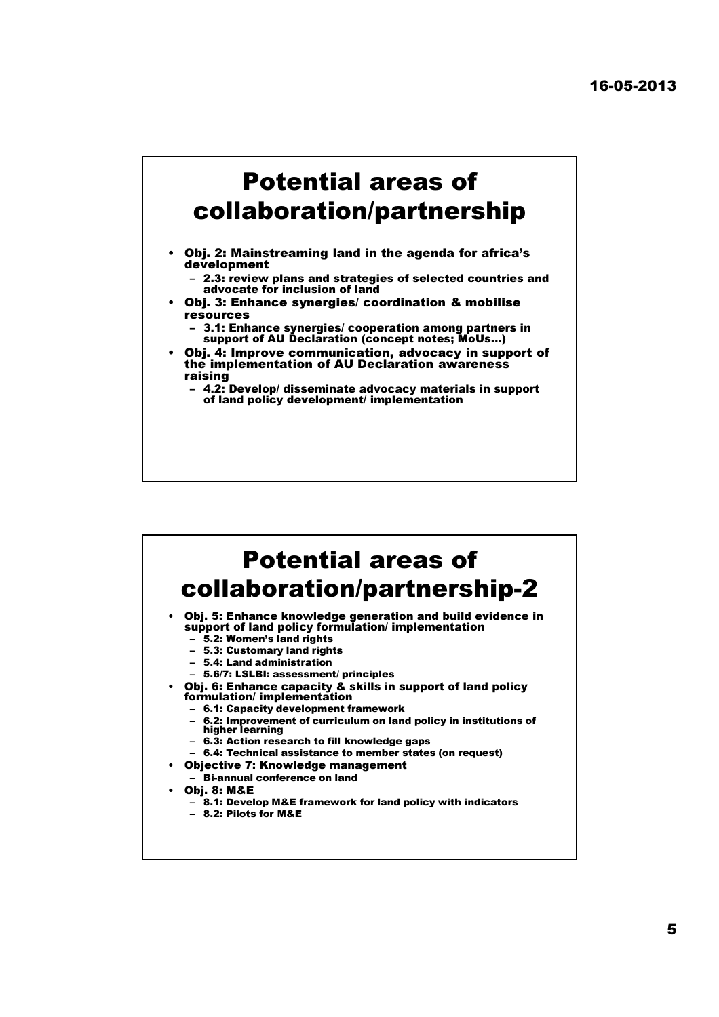#### Potential areas of collaboration/partnership

- Obj. 2: Mainstreaming land in the agenda for africa's development
	- 2.3: review plans and strategies of selected countries and advocate for inclusion of land
- Obj. 3: Enhance synergies/ coordination & mobilise resources
	- 3.1: Enhance synergies/ cooperation among partners in support of AU Declaration (concept notes; MoUs…)
- Obj. 4: Improve communication, advocacy in support of the implementation of AU Declaration awareness raising
	- 4.2: Develop/ disseminate advocacy materials in support of land policy development/ implementation

#### Potential areas of collaboration/partnership-2 • Obj. 5: Enhance knowledge generation and build evidence in support of land policy formulation/ implementation – 5.2: Women's land rights – 5.3: Customary land rights – 5.4: Land administration – 5.6/7: LSLBI: assessment/ principles • Obj. 6: Enhance capacity & skills in support of land policy formulation/ implementation – 6.1: Capacity development framework – 6.2: Improvement of curriculum on land policy in institutions of higher learning – 6.3: Action research to fill knowledge gaps – 6.4: Technical assistance to member states (on request) • Objective 7: Knowledge management – Bi-annual conference on land • Obj. 8: M&E – 8.1: Develop M&E framework for land policy with indicators – 8.2: Pilots for M&E